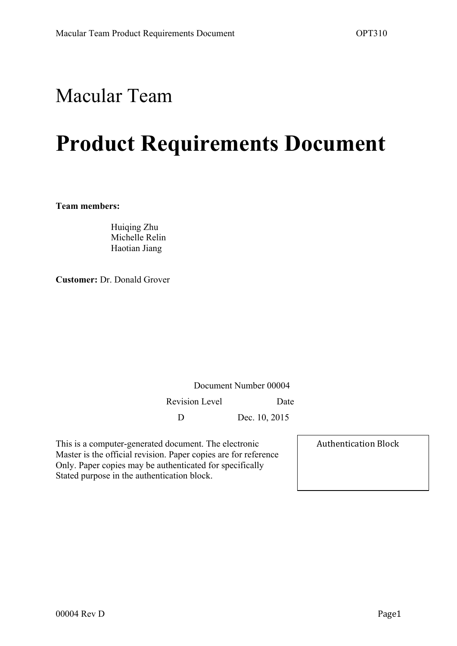# Macular Team

# **Product Requirements Document**

**Team members:**

Huiqing Zhu Michelle Relin Haotian Jiang

**Customer:** Dr. Donald Grover

Document Number 00004 Revision Level Date

D Dec. 10, 2015

This is a computer-generated document. The electronic Master is the official revision. Paper copies are for reference Only. Paper copies may be authenticated for specifically Stated purpose in the authentication block.

Authentication Block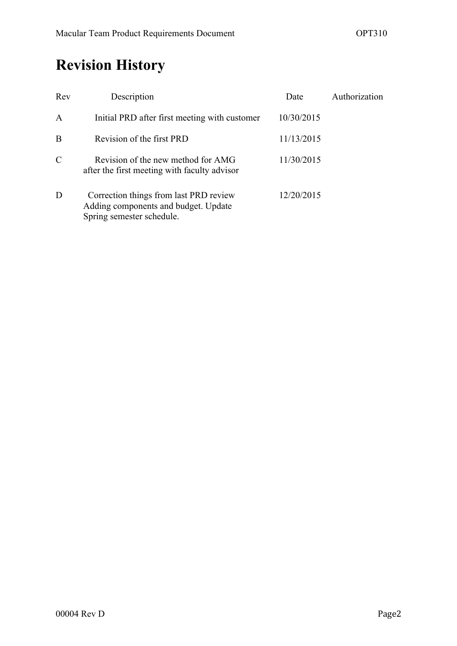# **Revision History**

| Rev           | Description                                                                                                 | Date       | Authorization |
|---------------|-------------------------------------------------------------------------------------------------------------|------------|---------------|
| $\mathbf{A}$  | Initial PRD after first meeting with customer                                                               | 10/30/2015 |               |
| B             | Revision of the first PRD                                                                                   | 11/13/2015 |               |
| $\mathcal{C}$ | Revision of the new method for AMG<br>after the first meeting with faculty advisor                          | 11/30/2015 |               |
| D             | Correction things from last PRD review<br>Adding components and budget. Update<br>Spring semester schedule. | 12/20/2015 |               |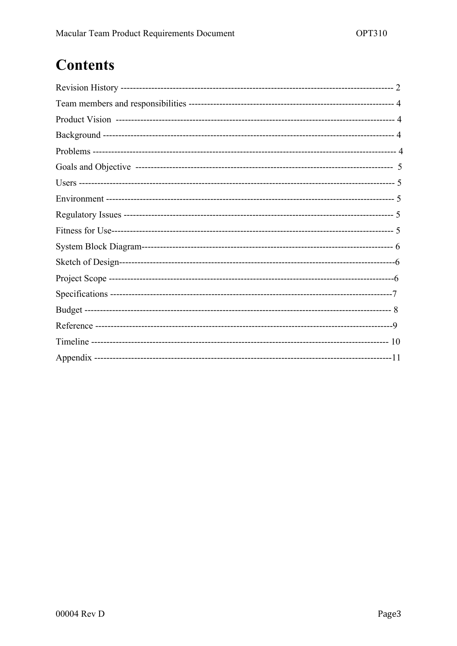# **Contents**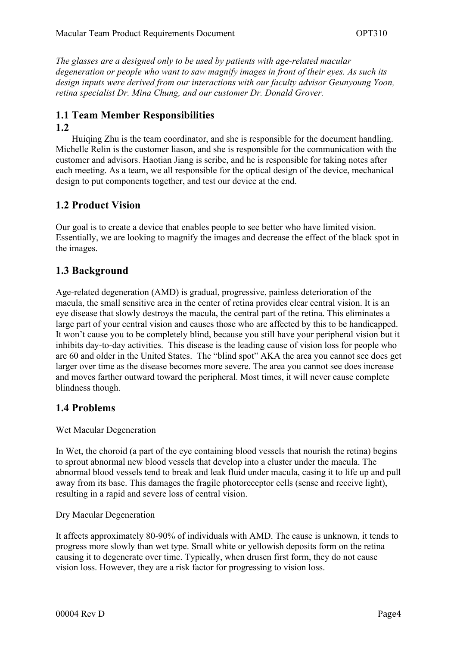*The glasses are a designed only to be used by patients with age-related macular degeneration or people who want to saw magnify images in front of their eyes. As such its design inputs were derived from our interactions with our faculty advisor Geunyoung Yoon, retina specialist Dr. Mina Chung, and our customer Dr. Donald Grover.* 

### **1.1 Team Member Responsibilities**

#### **1.2**

Huiqing Zhu is the team coordinator, and she is responsible for the document handling. Michelle Relin is the customer liason, and she is responsible for the communication with the customer and advisors. Haotian Jiang is scribe, and he is responsible for taking notes after each meeting. As a team, we all responsible for the optical design of the device, mechanical design to put components together, and test our device at the end.

#### **1.2 Product Vision**

Our goal is to create a device that enables people to see better who have limited vision. Essentially, we are looking to magnify the images and decrease the effect of the black spot in the images.

#### **1.3 Background**

Age-related degeneration (AMD) is gradual, progressive, painless deterioration of the macula, the small sensitive area in the center of retina provides clear central vision. It is an eye disease that slowly destroys the macula, the central part of the retina. This eliminates a large part of your central vision and causes those who are affected by this to be handicapped. It won't cause you to be completely blind, because you still have your peripheral vision but it inhibits day-to-day activities. This disease is the leading cause of vision loss for people who are 60 and older in the United States. The "blind spot" AKA the area you cannot see does get larger over time as the disease becomes more severe. The area you cannot see does increase and moves farther outward toward the peripheral. Most times, it will never cause complete blindness though.

#### **1.4 Problems**

#### Wet Macular Degeneration

In Wet, the choroid (a part of the eye containing blood vessels that nourish the retina) begins to sprout abnormal new blood vessels that develop into a cluster under the macula. The abnormal blood vessels tend to break and leak fluid under macula, casing it to life up and pull away from its base. This damages the fragile photoreceptor cells (sense and receive light), resulting in a rapid and severe loss of central vision.

#### Dry Macular Degeneration

It affects approximately 80-90% of individuals with AMD. The cause is unknown, it tends to progress more slowly than wet type. Small white or yellowish deposits form on the retina causing it to degenerate over time. Typically, when drusen first form, they do not cause vision loss. However, they are a risk factor for progressing to vision loss.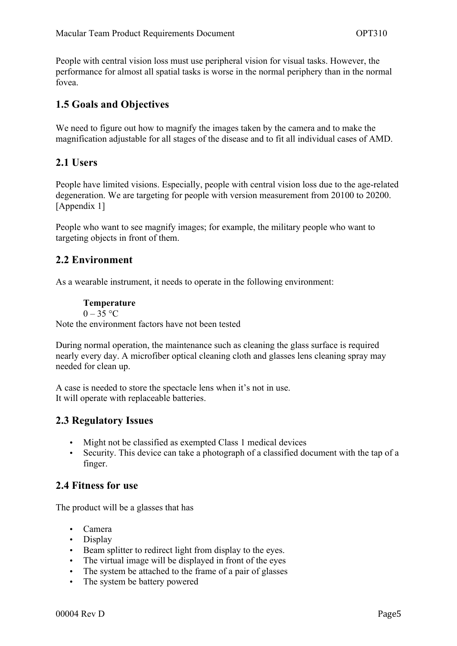People with central vision loss must use peripheral vision for visual tasks. However, the performance for almost all spatial tasks is worse in the normal periphery than in the normal fovea.

#### **1.5 Goals and Objectives**

We need to figure out how to magnify the images taken by the camera and to make the magnification adjustable for all stages of the disease and to fit all individual cases of AMD.

#### **2.1 Users**

People have limited visions. Especially, people with central vision loss due to the age-related degeneration. We are targeting for people with version measurement from 20100 to 20200. [Appendix 1]

People who want to see magnify images; for example, the military people who want to targeting objects in front of them.

#### **2.2 Environment**

As a wearable instrument, it needs to operate in the following environment:

#### **Temperature**

 $0 - 35$  °C

Note the environment factors have not been tested

During normal operation, the maintenance such as cleaning the glass surface is required nearly every day. A microfiber optical cleaning cloth and glasses lens cleaning spray may needed for clean up.

A case is needed to store the spectacle lens when it's not in use. It will operate with replaceable batteries.

#### **2.3 Regulatory Issues**

- Might not be classified as exempted Class 1 medical devices
- Security. This device can take a photograph of a classified document with the tap of a finger.

#### **2.4 Fitness for use**

The product will be a glasses that has

- Camera
- Display
- Beam splitter to redirect light from display to the eyes.
- The virtual image will be displayed in front of the eyes
- The system be attached to the frame of a pair of glasses
- The system be battery powered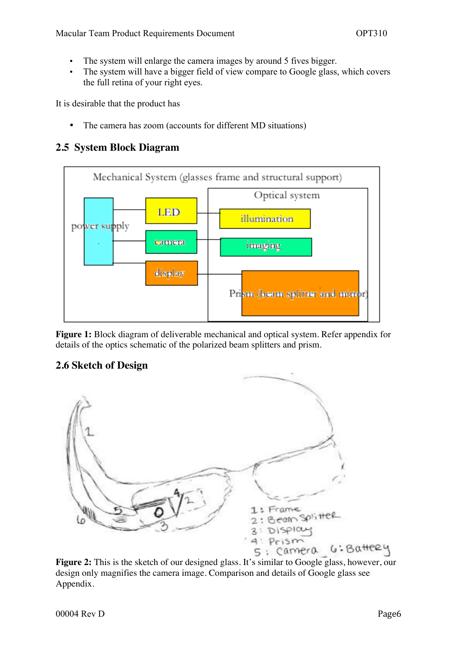- The system will enlarge the camera images by around 5 fives bigger.
- The system will have a bigger field of view compare to Google glass, which covers the full retina of your right eyes.

It is desirable that the product has

• The camera has zoom (accounts for different MD situations)

#### **2.5 System Block Diagram**



**Figure 1:** Block diagram of deliverable mechanical and optical system. Refer appendix for details of the optics schematic of the polarized beam splitters and prism.

#### **2.6 Sketch of Design**



Figure 2: This is the sketch of our designed glass. It's similar to Google glass, however, our design only magnifies the camera image. Comparison and details of Google glass see Appendix.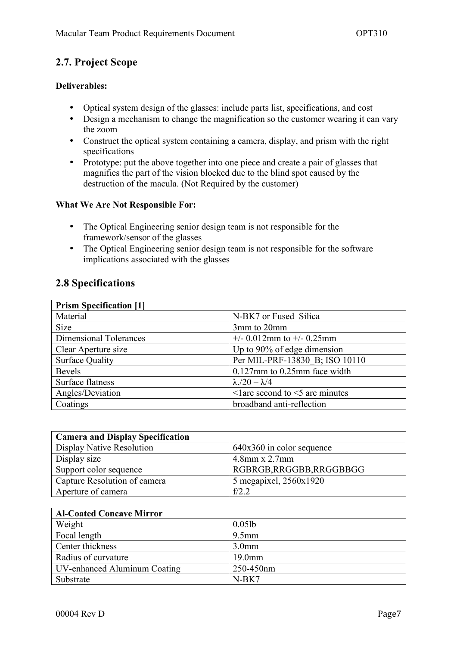#### **2.7. Project Scope**

#### **Deliverables:**

- Optical system design of the glasses: include parts list, specifications, and cost
- Design a mechanism to change the magnification so the customer wearing it can vary the zoom
- Construct the optical system containing a camera, display, and prism with the right specifications
- Prototype: put the above together into one piece and create a pair of glasses that magnifies the part of the vision blocked due to the blind spot caused by the destruction of the macula. (Not Required by the customer)

#### **What We Are Not Responsible For:**

- The Optical Engineering senior design team is not responsible for the framework/sensor of the glasses
- The Optical Engineering senior design team is not responsible for the software implications associated with the glasses

#### **2.8 Specifications**

| <b>Prism Specification [1]</b> |                                          |  |  |  |
|--------------------------------|------------------------------------------|--|--|--|
| Material                       | N-BK7 or Fused Silica                    |  |  |  |
| <b>Size</b>                    | 3mm to 20mm                              |  |  |  |
| <b>Dimensional Tolerances</b>  | $+/- 0.012$ mm to $+/- 0.25$ mm          |  |  |  |
| Clear Aperture size            | Up to 90% of edge dimension              |  |  |  |
| <b>Surface Quality</b>         | Per MIL-PRF-13830 B; ISO 10110           |  |  |  |
| <b>Bevels</b>                  | $0.127$ mm to $0.25$ mm face width       |  |  |  |
| Surface flatness               | $\lambda$ ./20 - $\lambda$ /4            |  |  |  |
| Angles/Deviation               | $\leq$ larc second to $\leq$ arc minutes |  |  |  |
| Coatings                       | broadband anti-reflection                |  |  |  |

| <b>Camera and Display Specification</b> |                             |  |  |
|-----------------------------------------|-----------------------------|--|--|
| Display Native Resolution               | $640x360$ in color sequence |  |  |
| Display size                            | $4.8$ mm x 2.7mm            |  |  |
| Support color sequence                  | RGBRGB, RRGGBB, RRGGBBGG    |  |  |
| Capture Resolution of camera            | 5 megapixel, 2560x1920      |  |  |
| Aperture of camera                      | $f/2$ 2                     |  |  |

| <b>Al-Coated Concave Mirror</b> |                    |  |  |  |
|---------------------------------|--------------------|--|--|--|
| Weight                          | $0.05$ lb          |  |  |  |
| Focal length                    | $9.5$ mm           |  |  |  |
| Center thickness                | 3.0 <sub>mm</sub>  |  |  |  |
| Radius of curvature             | 19.0 <sub>mm</sub> |  |  |  |
| UV-enhanced Aluminum Coating    | 250-450nm          |  |  |  |
| Substrate                       | $N-BK7$            |  |  |  |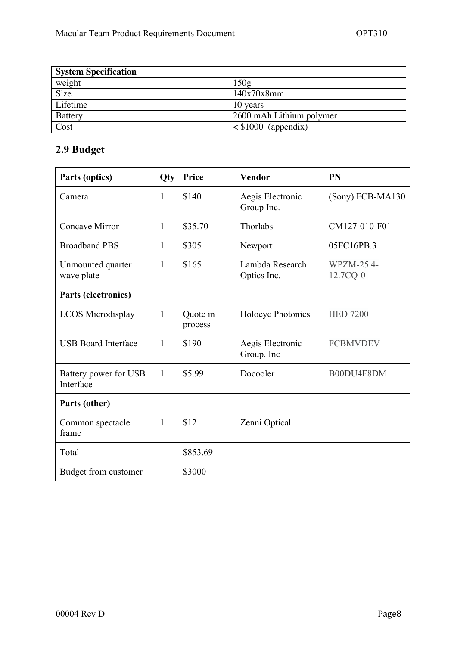| <b>System Specification</b> |                          |  |
|-----------------------------|--------------------------|--|
| weight                      | 150g                     |  |
| Size                        | 140x70x8mm               |  |
| Lifetime                    | 10 years                 |  |
| <b>Battery</b>              | 2600 mAh Lithium polymer |  |
| Cost                        | $\leq$ \$1000 (appendix) |  |

### **2.9 Budget**

| Parts (optics)                     | Qty          | Price               | Vendor                         | <b>PN</b>               |
|------------------------------------|--------------|---------------------|--------------------------------|-------------------------|
| Camera                             | $\mathbf{1}$ | \$140               | Aegis Electronic<br>Group Inc. | (Sony) FCB-MA130        |
| Concave Mirror                     | 1            | \$35.70             | Thorlabs                       | CM127-010-F01           |
| <b>Broadband PBS</b>               | 1            | \$305               | Newport                        | 05FC16PB.3              |
| Unmounted quarter<br>wave plate    | 1            | \$165               | Lambda Research<br>Optics Inc. | WPZM-25.4-<br>12.7CQ-0- |
| Parts (electronics)                |              |                     |                                |                         |
| <b>LCOS</b> Microdisplay           | $\mathbf{1}$ | Quote in<br>process | Holoeye Photonics              | <b>HED 7200</b>         |
| <b>USB Board Interface</b>         | $\mathbf{1}$ | \$190               | Aegis Electronic<br>Group. Inc | <b>FCBMVDEV</b>         |
| Battery power for USB<br>Interface | $\mathbf{1}$ | \$5.99              | Docooler                       | B00DU4F8DM              |
| Parts (other)                      |              |                     |                                |                         |
| Common spectacle<br>frame          | $\mathbf{1}$ | \$12                | Zenni Optical                  |                         |
| Total                              |              | \$853.69            |                                |                         |
| Budget from customer               |              | \$3000              |                                |                         |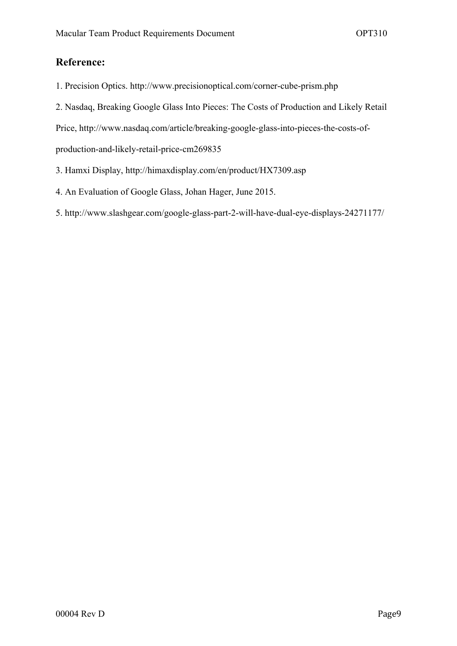#### **Reference:**

- 1. Precision Optics. http://www.precisionoptical.com/corner-cube-prism.php
- 2. Nasdaq, Breaking Google Glass Into Pieces: The Costs of Production and Likely Retail

Price, http://www.nasdaq.com/article/breaking-google-glass-into-pieces-the-costs-of-

production-and-likely-retail-price-cm269835

- 3. Hamxi Display, http://himaxdisplay.com/en/product/HX7309.asp
- 4. An Evaluation of Google Glass, Johan Hager, June 2015.
- 5. http://www.slashgear.com/google-glass-part-2-will-have-dual-eye-displays-24271177/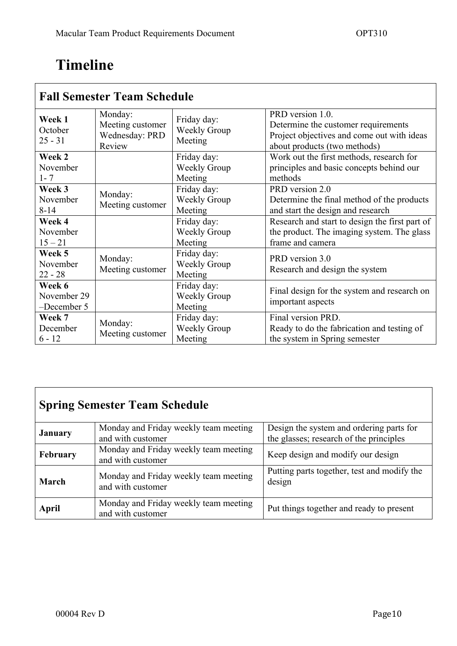# **Timeline**

| <b>Fall Semester Team Schedule</b>   |                                                         |                                               |                                                                                                                                       |  |
|--------------------------------------|---------------------------------------------------------|-----------------------------------------------|---------------------------------------------------------------------------------------------------------------------------------------|--|
| Week 1<br>October<br>$25 - 31$       | Monday:<br>Meeting customer<br>Wednesday: PRD<br>Review | Friday day:<br>Weekly Group<br>Meeting        | PRD version 1.0.<br>Determine the customer requirements<br>Project objectives and come out with ideas<br>about products (two methods) |  |
| Week 2<br>November<br>$1 - 7$        |                                                         | Friday day:<br><b>Weekly Group</b><br>Meeting | Work out the first methods, research for<br>principles and basic concepts behind our<br>methods                                       |  |
| Week 3<br>November<br>$8 - 14$       | Monday:<br>Meeting customer                             | Friday day:<br>Weekly Group<br>Meeting        | PRD version 2.0<br>Determine the final method of the products<br>and start the design and research                                    |  |
| Week 4<br>November<br>$15 - 21$      |                                                         | Friday day:<br>Weekly Group<br>Meeting        | Research and start to design the first part of<br>the product. The imaging system. The glass<br>frame and camera                      |  |
| Week 5<br>November<br>$22 - 28$      | Monday:<br>Meeting customer                             | Friday day:<br>Weekly Group<br>Meeting        | PRD version 3.0<br>Research and design the system                                                                                     |  |
| Week 6<br>November 29<br>-December 5 |                                                         | Friday day:<br><b>Weekly Group</b><br>Meeting | Final design for the system and research on<br>important aspects                                                                      |  |
| Week 7<br>December<br>$6 - 12$       | Monday:<br>Meeting customer                             | Friday day:<br>Weekly Group<br>Meeting        | Final version PRD.<br>Ready to do the fabrication and testing of<br>the system in Spring semester                                     |  |

### **Spring Semester Team Schedule**

| <b>January</b> | Monday and Friday weekly team meeting<br>and with customer | Design the system and ordering parts for<br>the glasses; research of the principles |
|----------------|------------------------------------------------------------|-------------------------------------------------------------------------------------|
| February       | Monday and Friday weekly team meeting<br>and with customer | Keep design and modify our design                                                   |
| March          | Monday and Friday weekly team meeting<br>and with customer | Putting parts together, test and modify the<br>design                               |
| <b>April</b>   | Monday and Friday weekly team meeting<br>and with customer | Put things together and ready to present                                            |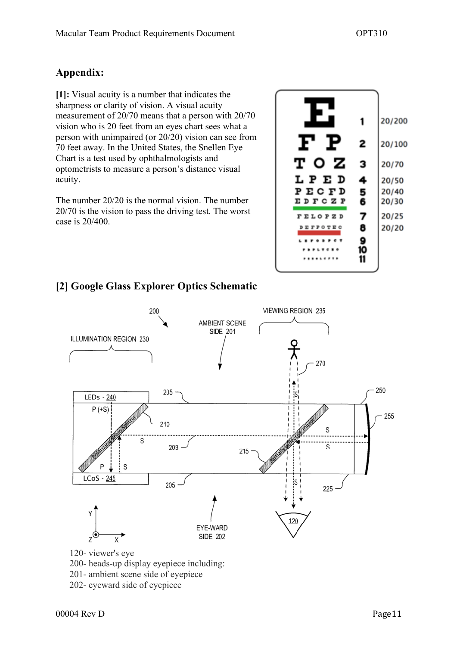### **Appendix:**

**[1]:** Visual acuity is a number that indicates the sharpness or clarity of vision. A visual acuity measurement of 20/70 means that a person with 20/70 vision who is 20 feet from an eyes chart sees what a person with unimpaired (or 20/20) vision can see from 70 feet away. In the United States, the Snellen Eye Chart is a test used by ophthalmologists and optometrists to measure a person's distance visual acuity.

The number 20/20 is the normal vision. The number 20/70 is the vision to pass the driving test. The worst case is 20/400.



### **[2] Google Glass Explorer Optics Schematic**

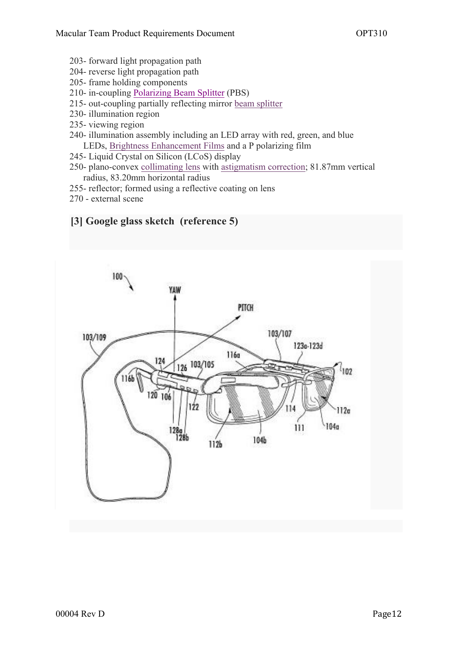- 203- forward light propagation path
- 204- reverse light propagation path
- 205- frame holding components
- 210- in-coupling Polarizing Beam Splitter (PBS)
- 215- out-coupling partially reflecting mirror beam splitter
- 230- illumination region
- 235- viewing region
- 240- illumination assembly including an LED array with red, green, and blue LEDs, Brightness Enhancement Films and a P polarizing film
- 245- Liquid Crystal on Silicon (LCoS) display
- 250- plano-convex collimating lens with astigmatism correction; 81.87mm vertical radius, 83.20mm horizontal radius
- 255- reflector; formed using a reflective coating on lens
- 270 external scene

#### **[3] Google glass sketch (reference 5)**

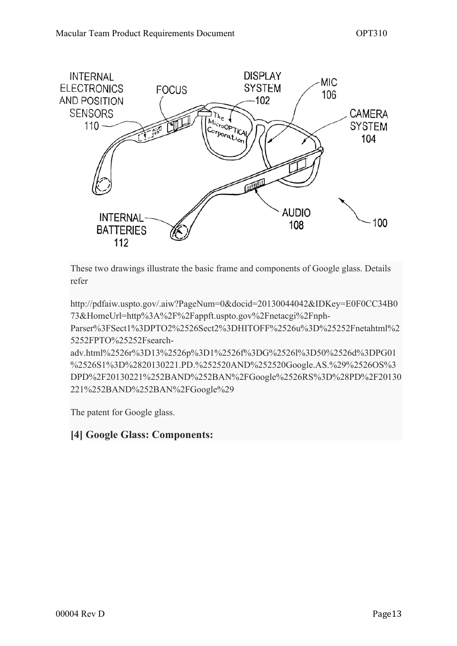

These two drawings illustrate the basic frame and components of Google glass. Details refer

http://pdfaiw.uspto.gov/.aiw?PageNum=0&docid=20130044042&IDKey=E0F0CC34B0 73&HomeUrl=http%3A%2F%2Fappft.uspto.gov%2Fnetacgi%2Fnph-

Parser%3FSect1%3DPTO2%2526Sect2%3DHITOFF%2526u%3D%25252Fnetahtml%2 5252FPTO%25252Fsearch-

adv.html%2526r%3D13%2526p%3D1%2526f%3DG%2526l%3D50%2526d%3DPG01 %2526S1%3D%2820130221.PD.%252520AND%252520Google.AS.%29%2526OS%3 DPD%2F20130221%252BAND%252BAN%2FGoogle%2526RS%3D%28PD%2F20130 221%252BAND%252BAN%2FGoogle%29

The patent for Google glass.

#### **[4] Google Glass: Components:**